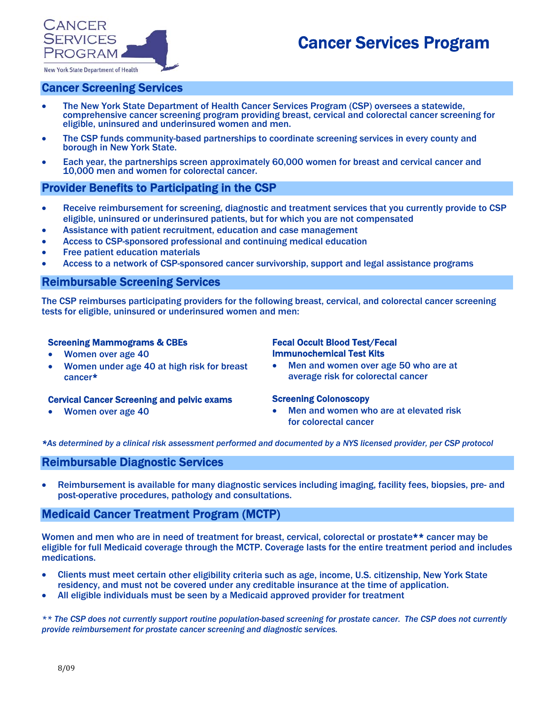# Cancer Services Program



# Cancer Screening Services

- The New York State Department of Health Cancer Services Program (CSP) oversees a statewide, comprehensive cancer screening program providing breast, cervical and colorectal cancer screening for eligible, uninsured and underinsured women and men.
- The CSP funds community-based partnerships to coordinate screening services in every county and borough in New York State.
- Each year, the partnerships screen approximately 60,000 women for breast and cervical cancer and 10,000 men and women for colorectal cancer.

## Provider Benefits to Participating in the CSP

- Receive reimbursement for screening, diagnostic and treatment services that you currently provide to CSP eligible, uninsured or underinsured patients, but for which you are not compensated
- Assistance with patient recruitment, education and case management
- Access to CSP-sponsored professional and continuing medical education
- **Free patient education materials**
- Access to a network of CSP-sponsored cancer survivorship, support and legal assistance programs

## Reimbursable Screening Services

The CSP reimburses participating providers for the following breast, cervical, and colorectal cancer screening tests for eligible, uninsured or underinsured women and men:

#### Screening Mammograms & CBEs

- Women over age 40
- Women under age 40 at high risk for breast cancer\*

#### Cervical Cancer Screening and pelvic exams

• Women over age 40

#### Fecal Occult Blood Test/Fecal Immunochemical Test Kits

• Men and women over age 50 who are at average risk for colorectal cancer

#### Screening Colonoscopy

• Men and women who are at elevated risk for colorectal cancer

*\*As determined by a clinical risk assessment performed and documented by a NYS licensed provider, per CSP protocol* 

## Reimbursable Diagnostic Services

• Reimbursement is available for many diagnostic services including imaging, facility fees, biopsies, pre- and post-operative procedures, pathology and consultations.

## Medicaid Cancer Treatment Program (MCTP)

Women and men who are in need of treatment for breast, cervical, colorectal or prostate\*\* cancer may be eligible for full Medicaid coverage through the MCTP. Coverage lasts for the entire treatment period and includes medications.

- Clients must meet certain other eligibility criteria such as age, income, U.S. citizenship, New York State residency, and must not be covered under any creditable insurance at the time of application.
- All eligible individuals must be seen by a Medicaid approved provider for treatment

*\*\* The CSP does not currently support routine population-based screening for prostate cancer. The CSP does not currently provide reimbursement for prostate cancer screening and diagnostic services.*